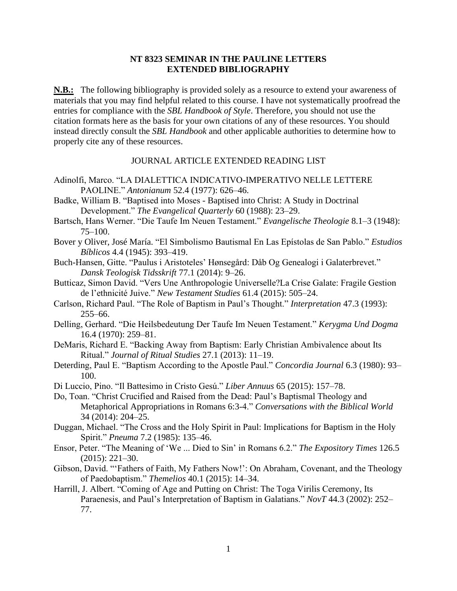## **NT 8323 SEMINAR IN THE PAULINE LETTERS EXTENDED BIBLIOGRAPHY**

**N.B.:** The following bibliography is provided solely as a resource to extend your awareness of materials that you may find helpful related to this course. I have not systematically proofread the entries for compliance with the *SBL Handbook of Style*. Therefore, you should not use the citation formats here as the basis for your own citations of any of these resources. You should instead directly consult the *SBL Handbook* and other applicable authorities to determine how to properly cite any of these resources.

## JOURNAL ARTICLE EXTENDED READING LIST

- Adinolfi, Marco. "LA DIALETTICA INDICATIVO-IMPERATIVO NELLE LETTERE PAOLINE." *Antonianum* 52.4 (1977): 626–46.
- Badke, William B. "Baptised into Moses Baptised into Christ: A Study in Doctrinal Development." *The Evangelical Quarterly* 60 (1988): 23–29.
- Bartsch, Hans Werner. "Die Taufe Im Neuen Testament." *Evangelische Theologie* 8.1–3 (1948): 75–100.
- Bover y Oliver, José María. "El Simbolismo Bautismal En Las Epístolas de San Pablo." *Estudios Bíblicos* 4.4 (1945): 393–419.
- Buch-Hansen, Gitte. "Paulus i Aristoteles' Hønsegård: Dåb Og Genealogi i Galaterbrevet." *Dansk Teologisk Tidsskrift* 77.1 (2014): 9–26.
- Butticaz, Simon David. "Vers Une Anthropologie Universelle?La Crise Galate: Fragile Gestion de l'ethnicité Juive." *New Testament Studies* 61.4 (2015): 505–24.
- Carlson, Richard Paul. "The Role of Baptism in Paul's Thought." *Interpretation* 47.3 (1993): 255–66.
- Delling, Gerhard. "Die Heilsbedeutung Der Taufe Im Neuen Testament." *Kerygma Und Dogma* 16.4 (1970): 259–81.
- DeMaris, Richard E. "Backing Away from Baptism: Early Christian Ambivalence about Its Ritual." *Journal of Ritual Studies* 27.1 (2013): 11–19.
- Deterding, Paul E. "Baptism According to the Apostle Paul." *Concordia Journal* 6.3 (1980): 93– 100.
- Di Luccio, Pino. "Il Battesimo in Cristo Gesú." *Liber Annuus* 65 (2015): 157–78.
- Do, Toan. "Christ Crucified and Raised from the Dead: Paul's Baptismal Theology and Metaphorical Appropriations in Romans 6:3-4." *Conversations with the Biblical World* 34 (2014): 204–25.
- Duggan, Michael. "The Cross and the Holy Spirit in Paul: Implications for Baptism in the Holy Spirit." *Pneuma* 7.2 (1985): 135–46.
- Ensor, Peter. "The Meaning of 'We ... Died to Sin' in Romans 6.2." *The Expository Times* 126.5 (2015): 221–30.
- Gibson, David. "'Fathers of Faith, My Fathers Now!': On Abraham, Covenant, and the Theology of Paedobaptism." *Themelios* 40.1 (2015): 14–34.
- Harrill, J. Albert. "Coming of Age and Putting on Christ: The Toga Virilis Ceremony, Its Paraenesis, and Paul's Interpretation of Baptism in Galatians." *NovT* 44.3 (2002): 252– 77.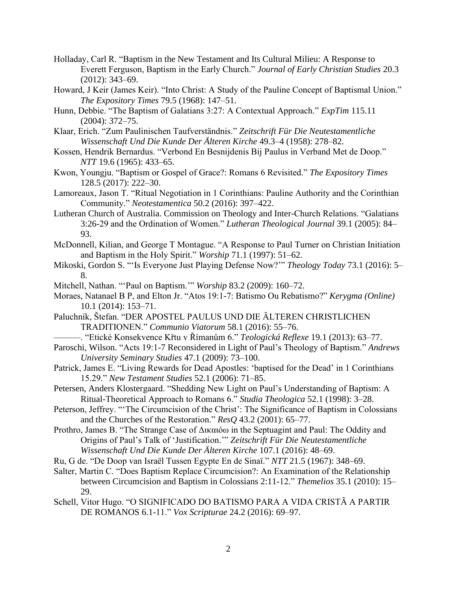- Holladay, Carl R. "Baptism in the New Testament and Its Cultural Milieu: A Response to Everett Ferguson, Baptism in the Early Church." *Journal of Early Christian Studies* 20.3 (2012): 343–69.
- Howard, J Keir (James Keir). "Into Christ: A Study of the Pauline Concept of Baptismal Union." *The Expository Times* 79.5 (1968): 147–51.
- Hunn, Debbie. "The Baptism of Galatians 3:27: A Contextual Approach." *ExpTim* 115.11 (2004): 372–75.
- Klaar, Erich. "Zum Paulinischen Taufverständnis." *Zeitschrift Für Die Neutestamentliche Wissenschaft Und Die Kunde Der Älteren Kirche* 49.3–4 (1958): 278–82.
- Kossen, Hendrik Bernardus. "Verbond En Besnijdenis Bij Paulus in Verband Met de Doop." *NTT* 19.6 (1965): 433–65.
- Kwon, Youngju. "Baptism or Gospel of Grace?: Romans 6 Revisited." *The Expository Times* 128.5 (2017): 222–30.
- Lamoreaux, Jason T. "Ritual Negotiation in 1 Corinthians: Pauline Authority and the Corinthian Community." *Neotestamentica* 50.2 (2016): 397–422.
- Lutheran Church of Australia. Commission on Theology and Inter-Church Relations. "Galatians 3:26-29 and the Ordination of Women." *Lutheran Theological Journal* 39.1 (2005): 84– 93.
- McDonnell, Kilian, and George T Montague. "A Response to Paul Turner on Christian Initiation and Baptism in the Holy Spirit." *Worship* 71.1 (1997): 51–62.
- Mikoski, Gordon S. "'Is Everyone Just Playing Defense Now?'" *Theology Today* 73.1 (2016): 5– 8.
- Mitchell, Nathan. "'Paul on Baptism.'" *Worship* 83.2 (2009): 160–72.
- Moraes, Natanael B P, and Elton Jr. "Atos 19:1-7: Batismo Ou Rebatismo?" *Kerygma (Online)* 10.1 (2014): 153–71.
- Paluchník, Štefan. "DER APOSTEL PAULUS UND DIE ÄLTEREN CHRISTLICHEN TRADITIONEN." *Communio Viatorum* 58.1 (2016): 55–76.
	- ———. "Etické Konsekvence Křtu v Římanům 6." *Teologická Reflexe* 19.1 (2013): 63–77.
- Paroschi, Wilson. "Acts 19:1-7 Reconsidered in Light of Paul's Theology of Baptism." *Andrews University Seminary Studies* 47.1 (2009): 73–100.
- Patrick, James E. "Living Rewards for Dead Apostles: 'baptised for the Dead' in 1 Corinthians 15.29." *New Testament Studies* 52.1 (2006): 71–85.
- Petersen, Anders Klostergaard. "Shedding New Light on Paul's Understanding of Baptism: A Ritual-Theoretical Approach to Romans 6." *Studia Theologica* 52.1 (1998): 3–28.
- Peterson, Jeffrey. "'The Circumcision of the Christ': The Significance of Baptism in Colossians and the Churches of the Restoration." *ResQ* 43.2 (2001): 65–77.
- Prothro, James B. "The Strange Case of Δικαιόω in the Septuagint and Paul: The Oddity and Origins of Paul's Talk of 'Justification.'" *Zeitschrift Für Die Neutestamentliche Wissenschaft Und Die Kunde Der Älteren Kirche* 107.1 (2016): 48–69.
- Ru, G de. "De Doop van Israël Tussen Egypte En de Sinaï." *NTT* 21.5 (1967): 348–69.
- Salter, Martin C. "Does Baptism Replace Circumcision?: An Examination of the Relationship between Circumcision and Baptism in Colossians 2:11-12." *Themelios* 35.1 (2010): 15– 29.
- Schell, Vitor Hugo. "O SIGNIFICADO DO BATISMO PARA A VIDA CRISTÃ A PARTIR DE ROMANOS 6.1-11." *Vox Scripturae* 24.2 (2016): 69–97.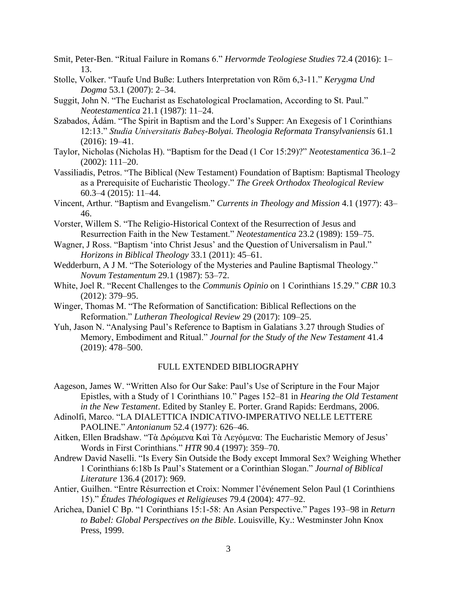- Smit, Peter-Ben. "Ritual Failure in Romans 6." *Hervormde Teologiese Studies* 72.4 (2016): 1– 13.
- Stolle, Volker. "Taufe Und Buße: Luthers Interpretation von Röm 6,3-11." *Kerygma Und Dogma* 53.1 (2007): 2–34.
- Suggit, John N. "The Eucharist as Eschatological Proclamation, According to St. Paul." *Neotestamentica* 21.1 (1987): 11–24.
- Szabados, Ádám. "The Spirit in Baptism and the Lord's Supper: An Exegesis of 1 Corinthians 12:13." *Studia Universitatis Babeș-Bolyai. Theologia Reformata Transylvaniensis* 61.1 (2016): 19–41.
- Taylor, Nicholas (Nicholas H). "Baptism for the Dead (1 Cor 15:29)?" *Neotestamentica* 36.1–2 (2002): 111–20.
- Vassiliadis, Petros. "The Biblical (New Testament) Foundation of Baptism: Baptismal Theology as a Prerequisite of Eucharistic Theology." *The Greek Orthodox Theological Review* 60.3–4 (2015): 11–44.
- Vincent, Arthur. "Baptism and Evangelism." *Currents in Theology and Mission* 4.1 (1977): 43– 46.
- Vorster, Willem S. "The Religio-Historical Context of the Resurrection of Jesus and Resurrection Faith in the New Testament." *Neotestamentica* 23.2 (1989): 159–75.
- Wagner, J Ross. "Baptism 'into Christ Jesus' and the Question of Universalism in Paul." *Horizons in Biblical Theology* 33.1 (2011): 45–61.
- Wedderburn, A J M. "The Soteriology of the Mysteries and Pauline Baptismal Theology." *Novum Testamentum* 29.1 (1987): 53–72.
- White, Joel R. "Recent Challenges to the *Communis Opinio* on 1 Corinthians 15.29." *CBR* 10.3 (2012): 379–95.
- Winger, Thomas M. "The Reformation of Sanctification: Biblical Reflections on the Reformation." *Lutheran Theological Review* 29 (2017): 109–25.
- Yuh, Jason N. "Analysing Paul's Reference to Baptism in Galatians 3.27 through Studies of Memory, Embodiment and Ritual." *Journal for the Study of the New Testament* 41.4 (2019): 478–500.

## FULL EXTENDED BIBLIOGRAPHY

- Aageson, James W. "Written Also for Our Sake: Paul's Use of Scripture in the Four Major Epistles, with a Study of 1 Corinthians 10." Pages 152–81 in *Hearing the Old Testament in the New Testament*. Edited by Stanley E. Porter. Grand Rapids: Eerdmans, 2006.
- Adinolfi, Marco. "LA DIALETTICA INDICATIVO-IMPERATIVO NELLE LETTERE PAOLINE." *Antonianum* 52.4 (1977): 626–46.
- Aitken, Ellen Bradshaw. "Τὰ Δρώμενα Καὶ Τὰ Λεγόμενα: The Eucharistic Memory of Jesus' Words in First Corinthians." *HTR* 90.4 (1997): 359–70.
- Andrew David Naselli. "Is Every Sin Outside the Body except Immoral Sex? Weighing Whether 1 Corinthians 6:18b Is Paul's Statement or a Corinthian Slogan." *Journal of Biblical Literature* 136.4 (2017): 969.
- Antier, Guilhen. "Entre Résurrection et Croix: Nommer l'événement Selon Paul (1 Corinthiens 15)." *Études Théologiques et Religieuses* 79.4 (2004): 477–92.
- Arichea, Daniel C Bp. "1 Corinthians 15:1-58: An Asian Perspective." Pages 193–98 in *Return to Babel: Global Perspectives on the Bible*. Louisville, Ky.: Westminster John Knox Press, 1999.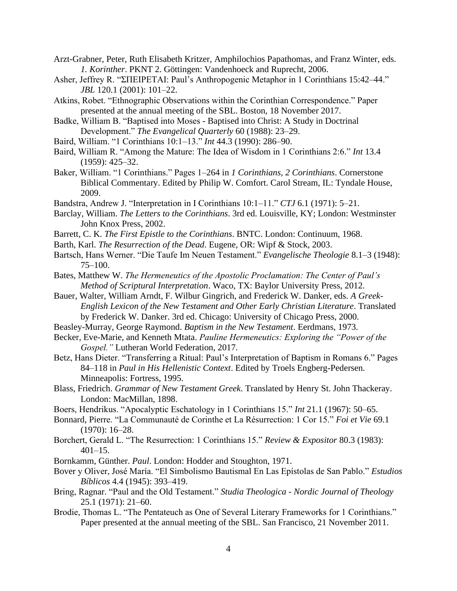- Arzt-Grabner, Peter, Ruth Elisabeth Kritzer, Amphilochios Papathomas, and Franz Winter, eds. *1. Korinther*. PKNT 2. Göttingen: Vandenhoeck and Ruprecht, 2006.
- Asher, Jeffrey R. "ΣΠΕΙΡΕΤΑΙ: Paul's Anthropogenic Metaphor in 1 Corinthians 15:42–44." *JBL* 120.1 (2001): 101–22.
- Atkins, Robet. "Ethnographic Observations within the Corinthian Correspondence." Paper presented at the annual meeting of the SBL. Boston, 18 November 2017.
- Badke, William B. "Baptised into Moses Baptised into Christ: A Study in Doctrinal Development." *The Evangelical Quarterly* 60 (1988): 23–29.
- Baird, William. "1 Corinthians 10:1–13." *Int* 44.3 (1990): 286–90.
- Baird, William R. "Among the Mature: The Idea of Wisdom in 1 Corinthians 2:6." *Int* 13.4 (1959): 425–32.
- Baker, William. "1 Corinthians." Pages 1–264 in *1 Corinthians, 2 Corinthians*. Cornerstone Biblical Commentary. Edited by Philip W. Comfort. Carol Stream, IL: Tyndale House, 2009.
- Bandstra, Andrew J. "Interpretation in I Corinthians 10:1–11." *CTJ* 6.1 (1971): 5–21.
- Barclay, William. *The Letters to the Corinthians*. 3rd ed. Louisville, KY; London: Westminster John Knox Press, 2002.
- Barrett, C. K. *The First Epistle to the Corinthians*. BNTC. London: Continuum, 1968.
- Barth, Karl. *The Resurrection of the Dead*. Eugene, OR: Wipf & Stock, 2003.
- Bartsch, Hans Werner. "Die Taufe Im Neuen Testament." *Evangelische Theologie* 8.1–3 (1948): 75–100.
- Bates, Matthew W. *The Hermeneutics of the Apostolic Proclamation: The Center of Paul's Method of Scriptural Interpretation*. Waco, TX: Baylor University Press, 2012.
- Bauer, Walter, William Arndt, F. Wilbur Gingrich, and Frederick W. Danker, eds. *A Greek-English Lexicon of the New Testament and Other Early Christian Literature*. Translated by Frederick W. Danker. 3rd ed. Chicago: University of Chicago Press, 2000.
- Beasley-Murray, George Raymond. *Baptism in the New Testament*. Eerdmans, 1973.
- Becker, Eve-Marie, and Kenneth Mtata. *Pauline Hermeneutics: Exploring the "Power of the Gospel."* Lutheran World Federation, 2017.
- Betz, Hans Dieter. "Transferring a Ritual: Paul's Interpretation of Baptism in Romans 6." Pages 84–118 in *Paul in His Hellenistic Context*. Edited by Troels Engberg-Pedersen. Minneapolis: Fortress, 1995.
- Blass, Friedrich. *Grammar of New Testament Greek*. Translated by Henry St. John Thackeray. London: MacMillan, 1898.
- Boers, Hendrikus. "Apocalyptic Eschatology in 1 Corinthians 15." *Int* 21.1 (1967): 50–65.
- Bonnard, Pierre. "La Communauté de Corinthe et La Résurrection: 1 Cor 15." *Foi et Vie* 69.1 (1970): 16–28.
- Borchert, Gerald L. "The Resurrection: 1 Corinthians 15." *Review & Expositor* 80.3 (1983):  $401 - 15$ .
- Bornkamm, Günther. *Paul*. London: Hodder and Stoughton, 1971.
- Bover y Oliver, José María. "El Simbolismo Bautismal En Las Epístolas de San Pablo." *Estudios Bíblicos* 4.4 (1945): 393–419.
- Bring, Ragnar. "Paul and the Old Testament." *Studia Theologica - Nordic Journal of Theology* 25.1 (1971): 21–60.
- Brodie, Thomas L. "The Pentateuch as One of Several Literary Frameworks for 1 Corinthians." Paper presented at the annual meeting of the SBL. San Francisco, 21 November 2011.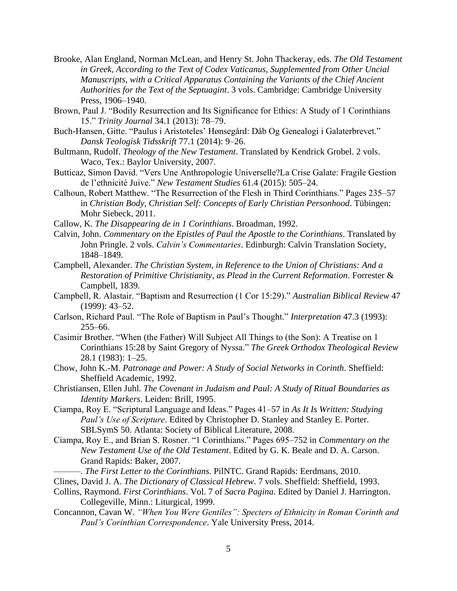- Brooke, Alan England, Norman McLean, and Henry St. John Thackeray, eds. *The Old Testament in Greek, According to the Text of Codex Vaticanus, Supplemented from Other Uncial Manuscripts, with a Critical Apparatus Containing the Variants of the Chief Ancient Authorities for the Text of the Septuagint*. 3 vols. Cambridge: Cambridge University Press, 1906–1940.
- Brown, Paul J. "Bodily Resurrection and Its Significance for Ethics: A Study of 1 Corinthians 15." *Trinity Journal* 34.1 (2013): 78–79.
- Buch-Hansen, Gitte. "Paulus i Aristoteles' Hønsegård: Dåb Og Genealogi i Galaterbrevet." *Dansk Teologisk Tidsskrift* 77.1 (2014): 9–26.
- Bultmann, Rudolf. *Theology of the New Testament*. Translated by Kendrick Grobel. 2 vols. Waco, Tex.: Baylor University, 2007.
- Butticaz, Simon David. "Vers Une Anthropologie Universelle?La Crise Galate: Fragile Gestion de l'ethnicité Juive." *New Testament Studies* 61.4 (2015): 505–24.
- Calhoun, Robert Matthew. "The Resurrection of the Flesh in Third Corinthians." Pages 235–57 in *Christian Body, Christian Self: Concepts of Early Christian Personhood*. Tübingen: Mohr Siebeck, 2011.
- Callow, K. *The Disappearing de in 1 Corinthians*. Broadman, 1992.
- Calvin, John. *Commentary on the Epistles of Paul the Apostle to the Corinthians*. Translated by John Pringle. 2 vols. *Calvin's Commentaries*. Edinburgh: Calvin Translation Society, 1848–1849.
- Campbell, Alexander. *The Christian System, in Reference to the Union of Christians: And a Restoration of Primitive Christianity, as Plead in the Current Reformation*. Forrester & Campbell, 1839.
- Campbell, R. Alastair. "Baptism and Resurrection (1 Cor 15:29)." *Australian Biblical Review* 47 (1999): 43–52.
- Carlson, Richard Paul. "The Role of Baptism in Paul's Thought." *Interpretation* 47.3 (1993): 255–66.
- Casimir Brother. "When (the Father) Will Subject All Things to (the Son): A Treatise on 1 Corinthians 15:28 by Saint Gregory of Nyssa." *The Greek Orthodox Theological Review* 28.1 (1983): 1–25.
- Chow, John K.-M. *Patronage and Power: A Study of Social Networks in Corinth*. Sheffield: Sheffield Academic, 1992.
- Christiansen, Ellen Juhl. *The Covenant in Judaism and Paul: A Study of Ritual Boundaries as Identity Markers*. Leiden: Brill, 1995.
- Ciampa, Roy E. "Scriptural Language and Ideas." Pages 41–57 in *As It Is Written: Studying Paul's Use of Scripture*. Edited by Christopher D. Stanley and Stanley E. Porter. SBLSymS 50. Atlanta: Society of Biblical Literature, 2008.
- Ciampa, Roy E., and Brian S. Rosner. "1 Corinthians." Pages 695–752 in *Commentary on the New Testament Use of the Old Testament*. Edited by G. K. Beale and D. A. Carson. Grand Rapids: Baker, 2007.
	- ———. *The First Letter to the Corinthians*. PilNTC. Grand Rapids: Eerdmans, 2010.
- Clines, David J. A. *The Dictionary of Classical Hebrew*. 7 vols. Sheffield: Sheffield, 1993.
- Collins, Raymond. *First Corinthians*. Vol. 7 of *Sacra Pagina*. Edited by Daniel J. Harrington. Collegeville, Minn.: Liturgical, 1999.
- Concannon, Cavan W. *"When You Were Gentiles": Specters of Ethnicity in Roman Corinth and Paul's Corinthian Correspondence*. Yale University Press, 2014.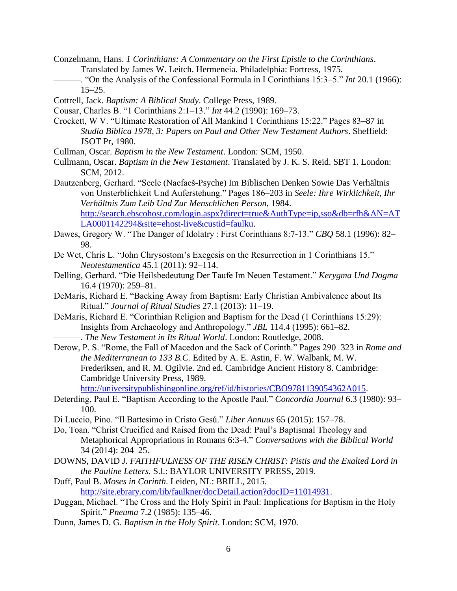- Conzelmann, Hans. *1 Corinthians: A Commentary on the First Epistle to the Corinthians*. Translated by James W. Leitch. Hermeneia. Philadelphia: Fortress, 1975.
- ———. "On the Analysis of the Confessional Formula in I Corinthians 15:3–5." *Int* 20.1 (1966): 15–25.
- Cottrell, Jack. *Baptism: A Biblical Study*. College Press, 1989.
- Cousar, Charles B. "1 Corinthians 2:1–13." *Int* 44.2 (1990): 169–73.
- Crockett, W V. "Ultimate Restoration of All Mankind 1 Corinthians 15:22." Pages 83–87 in *Studia Biblica 1978, 3: Papers on Paul and Other New Testament Authors*. Sheffield: JSOT Pr, 1980.
- Cullman, Oscar. *Baptism in the New Testament*. London: SCM, 1950.
- Cullmann, Oscar. *Baptism in the New Testament*. Translated by J. K. S. Reid. SBT 1. London: SCM, 2012.

Dautzenberg, Gerhard. "Seele (Naefaeš-Psyche) Im Biblischen Denken Sowie Das Verhältnis von Unsterblichkeit Und Auferstehung." Pages 186–203 in *Seele: Ihre Wirklichkeit, Ihr Verhältnis Zum Leib Und Zur Menschlichen Person*, 1984. [http://search.ebscohost.com/login.aspx?direct=true&AuthType=ip,sso&db=rfh&AN=AT](http://search.ebscohost.com/login.aspx?direct=true&AuthType=ip,sso&db=rfh&AN=ATLA0001142294&site=ehost-live&custid=faulku) [LA0001142294&site=ehost-live&custid=faulku.](http://search.ebscohost.com/login.aspx?direct=true&AuthType=ip,sso&db=rfh&AN=ATLA0001142294&site=ehost-live&custid=faulku)

- Dawes, Gregory W. "The Danger of Idolatry : First Corinthians 8:7-13." *CBQ* 58.1 (1996): 82– 98.
- De Wet, Chris L. "John Chrysostom's Exegesis on the Resurrection in 1 Corinthians 15." *Neotestamentica* 45.1 (2011): 92–114.
- Delling, Gerhard. "Die Heilsbedeutung Der Taufe Im Neuen Testament." *Kerygma Und Dogma* 16.4 (1970): 259–81.
- DeMaris, Richard E. "Backing Away from Baptism: Early Christian Ambivalence about Its Ritual." *Journal of Ritual Studies* 27.1 (2013): 11–19.
- DeMaris, Richard E. "Corinthian Religion and Baptism for the Dead (1 Corinthians 15:29): Insights from Archaeology and Anthropology." *JBL* 114.4 (1995): 661–82.

- Derow, P. S. "Rome, the Fall of Macedon and the Sack of Corinth." Pages 290–323 in *Rome and the Mediterranean to 133 B.C.* Edited by A. E. Astin, F. W. Walbank, M. W. Frederiksen, and R. M. Ogilvie. 2nd ed. Cambridge Ancient History 8. Cambridge: Cambridge University Press, 1989. [http://universitypublishingonline.org/ref/id/histories/CBO9781139054362A015.](http://universitypublishingonline.org/ref/id/histories/CBO9781139054362A015)
- Deterding, Paul E. "Baptism According to the Apostle Paul." *Concordia Journal* 6.3 (1980): 93– 100.
- Di Luccio, Pino. "Il Battesimo in Cristo Gesú." *Liber Annuus* 65 (2015): 157–78.
- Do, Toan. "Christ Crucified and Raised from the Dead: Paul's Baptismal Theology and Metaphorical Appropriations in Romans 6:3-4." *Conversations with the Biblical World* 34 (2014): 204–25.
- DOWNS, DAVID J. *FAITHFULNESS OF THE RISEN CHRIST: Pistis and the Exalted Lord in the Pauline Letters.* S.l.: BAYLOR UNIVERSITY PRESS, 2019.

Duff, Paul B. *Moses in Corinth*. Leiden, NL: BRILL, 2015. [http://site.ebrary.com/lib/faulkner/docDetail.action?docID=11014931.](http://site.ebrary.com/lib/faulkner/docDetail.action?docID=11014931)

- Duggan, Michael. "The Cross and the Holy Spirit in Paul: Implications for Baptism in the Holy Spirit." *Pneuma* 7.2 (1985): 135–46.
- Dunn, James D. G. *Baptism in the Holy Spirit*. London: SCM, 1970.

<sup>———.</sup> *The New Testament in Its Ritual World*. London: Routledge, 2008.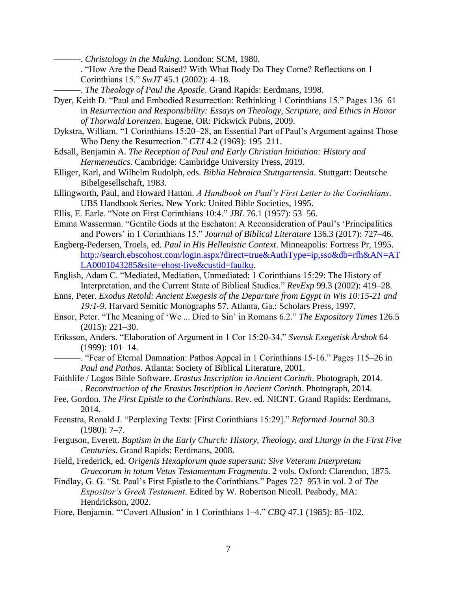———. *Christology in the Making*. London: SCM, 1980.

- ———. "How Are the Dead Raised? With What Body Do They Come? Reflections on 1 Corinthians 15." *SwJT* 45.1 (2002): 4–18.
	- ———. *The Theology of Paul the Apostle*. Grand Rapids: Eerdmans, 1998.
- Dyer, Keith D. "Paul and Embodied Resurrection: Rethinking 1 Corinthians 15." Pages 136–61 in *Resurrection and Responsibility: Essays on Theology, Scripture, and Ethics in Honor of Thorwald Lorenzen*. Eugene, OR: Pickwick Pubns, 2009.
- Dykstra, William. "1 Corinthians 15:20–28, an Essential Part of Paul's Argument against Those Who Deny the Resurrection." *CTJ* 4.2 (1969): 195–211.
- Edsall, Benjamin A. *The Reception of Paul and Early Christian Initiation: History and Hermeneutics*. Cambridge: Cambridge University Press, 2019.
- Elliger, Karl, and Wilhelm Rudolph, eds. *Biblia Hebraica Stuttgartensia*. Stuttgart: Deutsche Bibelgesellschaft, 1983.
- Ellingworth, Paul, and Howard Hatton. *A Handbook on Paul's First Letter to the Corinthians*. UBS Handbook Series. New York: United Bible Societies, 1995.
- Ellis, E. Earle. "Note on First Corinthians 10:4." *JBL* 76.1 (1957): 53–56.
- Emma Wasserman. "Gentile Gods at the Eschaton: A Reconsideration of Paul's 'Principalities and Powers' in 1 Corinthians 15." *Journal of Biblical Literature* 136.3 (2017): 727–46.
- Engberg-Pedersen, Troels, ed. *Paul in His Hellenistic Context*. Minneapolis: Fortress Pr, 1995. [http://search.ebscohost.com/login.aspx?direct=true&AuthType=ip,sso&db=rfh&AN=AT](http://search.ebscohost.com/login.aspx?direct=true&AuthType=ip,sso&db=rfh&AN=ATLA0001043285&site=ehost-live&custid=faulku) [LA0001043285&site=ehost-live&custid=faulku.](http://search.ebscohost.com/login.aspx?direct=true&AuthType=ip,sso&db=rfh&AN=ATLA0001043285&site=ehost-live&custid=faulku)
- English, Adam C. "Mediated, Mediation, Unmediated: 1 Corinthians 15:29: The History of Interpretation, and the Current State of Biblical Studies." *RevExp* 99.3 (2002): 419–28.
- Enns, Peter. *Exodus Retold: Ancient Exegesis of the Departure from Egypt in Wis 10:15-21 and 19:1-9*. Harvard Semitic Monographs 57. Atlanta, Ga.: Scholars Press, 1997.
- Ensor, Peter. "The Meaning of 'We ... Died to Sin' in Romans 6.2." *The Expository Times* 126.5 (2015): 221–30.
- Eriksson, Anders. "Elaboration of Argument in 1 Cor 15:20-34." *Svensk Exegetisk Årsbok* 64 (1999): 101–14.
- ———. "Fear of Eternal Damnation: Pathos Appeal in 1 Corinthians 15-16." Pages 115–26 in *Paul and Pathos*. Atlanta: Society of Biblical Literature, 2001.
- Faithlife / Logos Bible Software. *Erastus Inscription in Ancient Corinth*. Photograph, 2014. ———. *Reconstruction of the Erastus Inscription in Ancient Corinth*. Photograph, 2014.
- Fee, Gordon. *The First Epistle to the Corinthians*. Rev. ed. NICNT. Grand Rapids: Eerdmans, 2014.
- Feenstra, Ronald J. "Perplexing Texts: [First Corinthians 15:29]." *Reformed Journal* 30.3 (1980): 7–7.
- Ferguson, Everett. *Baptism in the Early Church: History, Theology, and Liturgy in the First Five Centuries*. Grand Rapids: Eerdmans, 2008.
- Field, Frederick, ed. *Origenis Hexaplorum quae supersunt: Sive Veterum Interpretum Graecorum in totum Vetus Testamentum Fragmenta*. 2 vols. Oxford: Clarendon, 1875.
- Findlay, G. G. "St. Paul's First Epistle to the Corinthians." Pages 727–953 in vol. 2 of *The Expositor's Greek Testament*. Edited by W. Robertson Nicoll. Peabody, MA: Hendrickson, 2002.
- Fiore, Benjamin. "'Covert Allusion' in 1 Corinthians 1–4." *CBQ* 47.1 (1985): 85–102.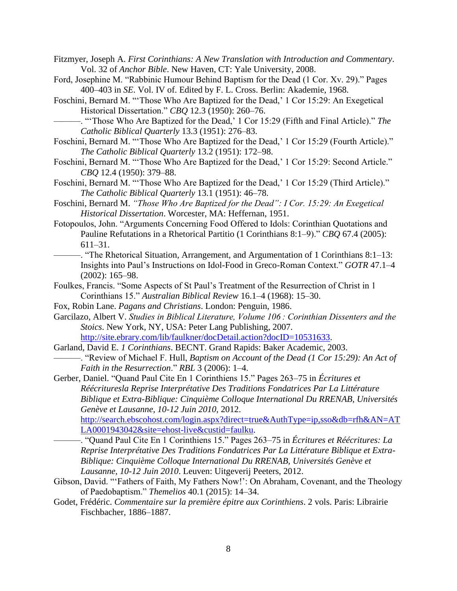- Fitzmyer, Joseph A. *First Corinthians: A New Translation with Introduction and Commentary*. Vol. 32 of *Anchor Bible*. New Haven, CT: Yale University, 2008.
- Ford, Josephine M. "Rabbinic Humour Behind Baptism for the Dead (1 Cor. Xv. 29)." Pages 400–403 in *SE*. Vol. IV of. Edited by F. L. Cross. Berlin: Akademie, 1968.
- Foschini, Bernard M. "'Those Who Are Baptized for the Dead,' 1 Cor 15:29: An Exegetical Historical Dissertation." *CBQ* 12.3 (1950): 260–76.
	- ———. "'Those Who Are Baptized for the Dead,' 1 Cor 15:29 (Fifth and Final Article)." *The Catholic Biblical Quarterly* 13.3 (1951): 276–83.
- Foschini, Bernard M. "'Those Who Are Baptized for the Dead,' 1 Cor 15:29 (Fourth Article)." *The Catholic Biblical Quarterly* 13.2 (1951): 172–98.
- Foschini, Bernard M. "'Those Who Are Baptized for the Dead,' 1 Cor 15:29: Second Article." *CBQ* 12.4 (1950): 379–88.
- Foschini, Bernard M. "'Those Who Are Baptized for the Dead,' 1 Cor 15:29 (Third Article)." *The Catholic Biblical Quarterly* 13.1 (1951): 46–78.
- Foschini, Bernard M. *"Those Who Are Baptized for the Dead": I Cor. 15:29: An Exegetical Historical Dissertation*. Worcester, MA: Heffernan, 1951.
- Fotopoulos, John. "Arguments Concerning Food Offered to Idols: Corinthian Quotations and Pauline Refutations in a Rhetorical Partitio (1 Corinthians 8:1–9)." *CBQ* 67.4 (2005): 611–31.
	- ———. "The Rhetorical Situation, Arrangement, and Argumentation of 1 Corinthians 8:1–13: Insights into Paul's Instructions on Idol-Food in Greco-Roman Context." *GOTR* 47.1–4 (2002): 165–98.
- Foulkes, Francis. "Some Aspects of St Paul's Treatment of the Resurrection of Christ in 1 Corinthians 15." *Australian Biblical Review* 16.1–4 (1968): 15–30.
- Fox, Robin Lane. *Pagans and Christians*. London: Penguin, 1986.
- Garcilazo, Albert V. *Studies in Biblical Literature, Volume 106 : Corinthian Dissenters and the Stoics*. New York, NY, USA: Peter Lang Publishing, 2007. [http://site.ebrary.com/lib/faulkner/docDetail.action?docID=10531633.](http://site.ebrary.com/lib/faulkner/docDetail.action?docID=10531633)
- Garland, David E. *1 Corinthians*. BECNT. Grand Rapids: Baker Academic, 2003.
	- ———. "Review of Michael F. Hull, *Baptism on Account of the Dead (1 Cor 15:29): An Act of Faith in the Resurrection*." *RBL* 3 (2006): 1–4.

Gerber, Daniel. "Quand Paul Cite En 1 Corinthiens 15." Pages 263–75 in *Écritures et Réécrituresla Reprise Interprétative Des Traditions Fondatrices Par La Littérature Biblique et Extra-Biblique: Cinquième Colloque International Du RRENAB, Universités Genève et Lausanne, 10-12 Juin 2010*, 2012. [http://search.ebscohost.com/login.aspx?direct=true&AuthType=ip,sso&db=rfh&AN=AT](http://search.ebscohost.com/login.aspx?direct=true&AuthType=ip,sso&db=rfh&AN=ATLA0001943042&site=ehost-live&custid=faulku)

[LA0001943042&site=ehost-live&custid=faulku.](http://search.ebscohost.com/login.aspx?direct=true&AuthType=ip,sso&db=rfh&AN=ATLA0001943042&site=ehost-live&custid=faulku)

- ———. "Quand Paul Cite En 1 Corinthiens 15." Pages 263–75 in *Écritures et Réécritures: La Reprise Interprétative Des Traditions Fondatrices Par La Littérature Biblique et Extra-Biblique: Cinquième Colloque International Du RRENAB, Universités Genève et Lausanne, 10-12 Juin 2010*. Leuven: Uitgeverij Peeters, 2012.
- Gibson, David. "'Fathers of Faith, My Fathers Now!': On Abraham, Covenant, and the Theology of Paedobaptism." *Themelios* 40.1 (2015): 14–34.
- Godet, Frédéric. *Commentaire sur la première épitre aux Corinthiens*. 2 vols. Paris: Librairie Fischbacher, 1886–1887.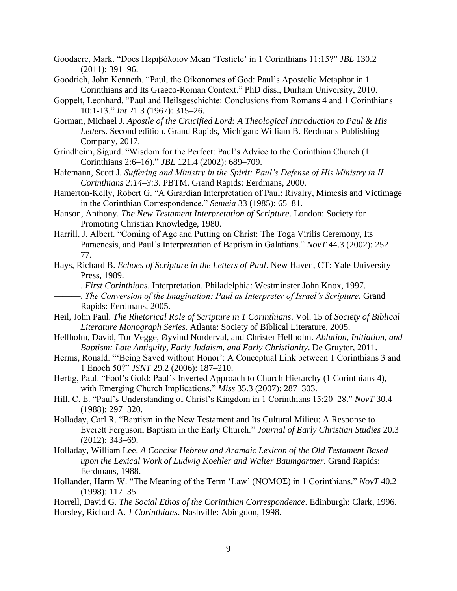- Goodacre, Mark. "Does Περıβóλαıον Mean 'Testicle' in 1 Corinthians 11:15?" *JBL* 130.2 (2011): 391–96.
- Goodrich, John Kenneth. "Paul, the Oikonomos of God: Paul's Apostolic Metaphor in 1 Corinthians and Its Graeco-Roman Context." PhD diss., Durham University, 2010.
- Goppelt, Leonhard. "Paul and Heilsgeschichte: Conclusions from Romans 4 and 1 Corinthians 10:1-13." *Int* 21.3 (1967): 315–26.
- Gorman, Michael J. *Apostle of the Crucified Lord: A Theological Introduction to Paul & His Letters*. Second edition. Grand Rapids, Michigan: William B. Eerdmans Publishing Company, 2017.
- Grindheim, Sigurd. "Wisdom for the Perfect: Paul's Advice to the Corinthian Church (1 Corinthians 2:6–16)." *JBL* 121.4 (2002): 689–709.
- Hafemann, Scott J. *Suffering and Ministry in the Spirit: Paul's Defense of His Ministry in II Corinthians 2:14–3:3*. PBTM. Grand Rapids: Eerdmans, 2000.
- Hamerton-Kelly, Robert G. "A Girardian Interpretation of Paul: Rivalry, Mimesis and Victimage in the Corinthian Correspondence." *Semeia* 33 (1985): 65–81.
- Hanson, Anthony. *The New Testament Interpretation of Scripture*. London: Society for Promoting Christian Knowledge, 1980.
- Harrill, J. Albert. "Coming of Age and Putting on Christ: The Toga Virilis Ceremony, Its Paraenesis, and Paul's Interpretation of Baptism in Galatians." *NovT* 44.3 (2002): 252– 77.
- Hays, Richard B. *Echoes of Scripture in the Letters of Paul*. New Haven, CT: Yale University Press, 1989.
- ———. *First Corinthians*. Interpretation. Philadelphia: Westminster John Knox, 1997.
- ———. *The Conversion of the Imagination: Paul as Interpreter of Israel's Scripture*. Grand Rapids: Eerdmans, 2005.
- Heil, John Paul. *The Rhetorical Role of Scripture in 1 Corinthians*. Vol. 15 of *Society of Biblical Literature Monograph Series*. Atlanta: Society of Biblical Literature, 2005.
- Hellholm, David, Tor Vegge, Øyvind Norderval, and Christer Hellholm. *Ablution, Initiation, and Baptism: Late Antiquity, Early Judaism, and Early Christianity*. De Gruyter, 2011.
- Herms, Ronald. "'Being Saved without Honor': A Conceptual Link between 1 Corinthians 3 and 1 Enoch 50?" *JSNT* 29.2 (2006): 187–210.
- Hertig, Paul. "Fool's Gold: Paul's Inverted Approach to Church Hierarchy (1 Corinthians 4), with Emerging Church Implications." *Miss* 35.3 (2007): 287–303.
- Hill, C. E. "Paul's Understanding of Christ's Kingdom in 1 Corinthians 15:20–28." *NovT* 30.4 (1988): 297–320.
- Holladay, Carl R. "Baptism in the New Testament and Its Cultural Milieu: A Response to Everett Ferguson, Baptism in the Early Church." *Journal of Early Christian Studies* 20.3 (2012): 343–69.
- Holladay, William Lee. *A Concise Hebrew and Aramaic Lexicon of the Old Testament Based upon the Lexical Work of Ludwig Koehler and Walter Baumgartner*. Grand Rapids: Eerdmans, 1988.
- Hollander, Harm W. "The Meaning of the Term 'Law' (ΝΟΜΟΣ) in 1 Corinthians." *NovT* 40.2 (1998): 117–35.
- Horrell, David G. *The Social Ethos of the Corinthian Correspondence*. Edinburgh: Clark, 1996. Horsley, Richard A. *1 Corinthians*. Nashville: Abingdon, 1998.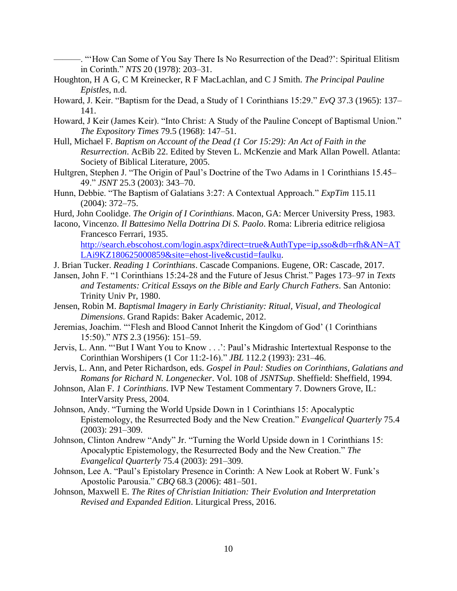———. "'How Can Some of You Say There Is No Resurrection of the Dead?': Spiritual Elitism in Corinth." *NTS* 20 (1978): 203–31.

- Houghton, H A G, C M Kreinecker, R F MacLachlan, and C J Smith. *The Principal Pauline Epistles*, n.d.
- Howard, J. Keir. "Baptism for the Dead, a Study of 1 Corinthians 15:29." *EvQ* 37.3 (1965): 137– 141.
- Howard, J Keir (James Keir). "Into Christ: A Study of the Pauline Concept of Baptismal Union." *The Expository Times* 79.5 (1968): 147–51.
- Hull, Michael F. *Baptism on Account of the Dead (1 Cor 15:29): An Act of Faith in the Resurrection*. AcBib 22. Edited by Steven L. McKenzie and Mark Allan Powell. Atlanta: Society of Biblical Literature, 2005.
- Hultgren, Stephen J. "The Origin of Paul's Doctrine of the Two Adams in 1 Corinthians 15.45– 49." *JSNT* 25.3 (2003): 343–70.
- Hunn, Debbie. "The Baptism of Galatians 3:27: A Contextual Approach." *ExpTim* 115.11 (2004): 372–75.
- Hurd, John Coolidge. *The Origin of I Corinthians*. Macon, GA: Mercer University Press, 1983.
- Iacono, Vincenzo. *Il Battesimo Nella Dottrina Di S. Paolo*. Roma: Libreria editrice religiosa Francesco Ferrari, 1935.

[http://search.ebscohost.com/login.aspx?direct=true&AuthType=ip,sso&db=rfh&AN=AT](http://search.ebscohost.com/login.aspx?direct=true&AuthType=ip,sso&db=rfh&AN=ATLAi9KZ180625000859&site=ehost-live&custid=faulku) [LAi9KZ180625000859&site=ehost-live&custid=faulku.](http://search.ebscohost.com/login.aspx?direct=true&AuthType=ip,sso&db=rfh&AN=ATLAi9KZ180625000859&site=ehost-live&custid=faulku)

- J. Brian Tucker. *Reading 1 Corinthians*. Cascade Companions. Eugene, OR: Cascade, 2017.
- Jansen, John F. "1 Corinthians 15:24-28 and the Future of Jesus Christ." Pages 173–97 in *Texts and Testaments: Critical Essays on the Bible and Early Church Fathers*. San Antonio: Trinity Univ Pr, 1980.
- Jensen, Robin M. *Baptismal Imagery in Early Christianity: Ritual, Visual, and Theological Dimensions*. Grand Rapids: Baker Academic, 2012.
- Jeremias, Joachim. "'Flesh and Blood Cannot Inherit the Kingdom of God' (1 Corinthians 15:50)." *NTS* 2.3 (1956): 151–59.
- Jervis, L. Ann. "'But I Want You to Know . . .': Paul's Midrashic Intertextual Response to the Corinthian Worshipers (1 Cor 11:2-16)." *JBL* 112.2 (1993): 231–46.
- Jervis, L. Ann, and Peter Richardson, eds. *Gospel in Paul: Studies on Corinthians, Galatians and Romans for Richard N. Longenecker*. Vol. 108 of *JSNTSup*. Sheffield: Sheffield, 1994.
- Johnson, Alan F. *1 Corinthians*. IVP New Testament Commentary 7. Downers Grove, IL: InterVarsity Press, 2004.
- Johnson, Andy. "Turning the World Upside Down in 1 Corinthians 15: Apocalyptic Epistemology, the Resurrected Body and the New Creation." *Evangelical Quarterly* 75.4 (2003): 291–309.
- Johnson, Clinton Andrew "Andy" Jr. "Turning the World Upside down in 1 Corinthians 15: Apocalyptic Epistemology, the Resurrected Body and the New Creation." *The Evangelical Quarterly* 75.4 (2003): 291–309.
- Johnson, Lee A. "Paul's Epistolary Presence in Corinth: A New Look at Robert W. Funk's Apostolic Parousia." *CBQ* 68.3 (2006): 481–501.
- Johnson, Maxwell E. *The Rites of Christian Initiation: Their Evolution and Interpretation Revised and Expanded Edition*. Liturgical Press, 2016.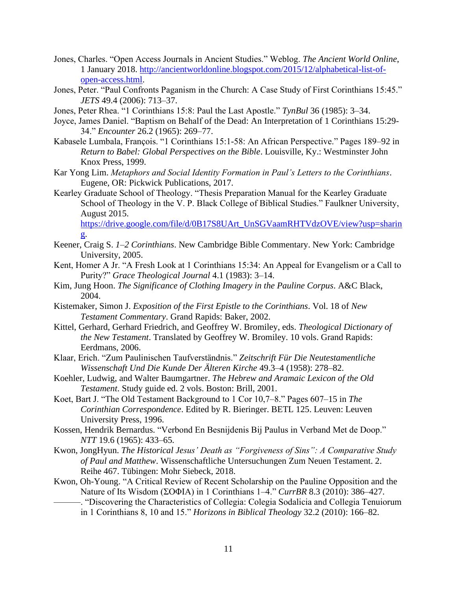- Jones, Charles. "Open Access Journals in Ancient Studies." Weblog. *The Ancient World Online*, 1 January 2018. [http://ancientworldonline.blogspot.com/2015/12/alphabetical-list-of](http://ancientworldonline.blogspot.com/2015/12/alphabetical-list-of-open-access.html)[open-access.html.](http://ancientworldonline.blogspot.com/2015/12/alphabetical-list-of-open-access.html)
- Jones, Peter. "Paul Confronts Paganism in the Church: A Case Study of First Corinthians 15:45." *JETS* 49.4 (2006): 713–37.
- Jones, Peter Rhea. "1 Corinthians 15:8: Paul the Last Apostle." *TynBul* 36 (1985): 3–34.
- Joyce, James Daniel. "Baptism on Behalf of the Dead: An Interpretation of 1 Corinthians 15:29- 34." *Encounter* 26.2 (1965): 269–77.
- Kabasele Lumbala, François. "1 Corinthians 15:1-58: An African Perspective." Pages 189–92 in *Return to Babel: Global Perspectives on the Bible*. Louisville, Ky.: Westminster John Knox Press, 1999.
- Kar Yong Lim. *Metaphors and Social Identity Formation in Paul's Letters to the Corinthians*. Eugene, OR: Pickwick Publications, 2017.
- Kearley Graduate School of Theology. "Thesis Preparation Manual for the Kearley Graduate School of Theology in the V. P. Black College of Biblical Studies." Faulkner University, August 2015.

[https://drive.google.com/file/d/0B17S8UArt\\_UnSGVaamRHTVdzOVE/view?usp=sharin](https://drive.google.com/file/d/0B17S8UArt_UnSGVaamRHTVdzOVE/view?usp=sharing) [g.](https://drive.google.com/file/d/0B17S8UArt_UnSGVaamRHTVdzOVE/view?usp=sharing)

- Keener, Craig S. *1–2 Corinthians*. New Cambridge Bible Commentary. New York: Cambridge University, 2005.
- Kent, Homer A Jr. "A Fresh Look at 1 Corinthians 15:34: An Appeal for Evangelism or a Call to Purity?" *Grace Theological Journal* 4.1 (1983): 3–14.
- Kim, Jung Hoon. *The Significance of Clothing Imagery in the Pauline Corpus*. A&C Black, 2004.
- Kistemaker, Simon J. *Exposition of the First Epistle to the Corinthians*. Vol. 18 of *New Testament Commentary*. Grand Rapids: Baker, 2002.
- Kittel, Gerhard, Gerhard Friedrich, and Geoffrey W. Bromiley, eds. *Theological Dictionary of the New Testament*. Translated by Geoffrey W. Bromiley. 10 vols. Grand Rapids: Eerdmans, 2006.
- Klaar, Erich. "Zum Paulinischen Taufverständnis." *Zeitschrift Für Die Neutestamentliche Wissenschaft Und Die Kunde Der Älteren Kirche* 49.3–4 (1958): 278–82.
- Koehler, Ludwig, and Walter Baumgartner. *The Hebrew and Aramaic Lexicon of the Old Testament*. Study guide ed. 2 vols. Boston: Brill, 2001.
- Koet, Bart J. "The Old Testament Background to 1 Cor 10,7–8." Pages 607–15 in *The Corinthian Correspondence*. Edited by R. Bieringer. BETL 125. Leuven: Leuven University Press, 1996.
- Kossen, Hendrik Bernardus. "Verbond En Besnijdenis Bij Paulus in Verband Met de Doop." *NTT* 19.6 (1965): 433–65.
- Kwon, JongHyun. *The Historical Jesus' Death as "Forgiveness of Sins": A Comparative Study of Paul and Matthew*. Wissenschaftliche Untersuchungen Zum Neuen Testament. 2. Reihe 467. Tübingen: Mohr Siebeck, 2018.
- Kwon, Oh-Young. "A Critical Review of Recent Scholarship on the Pauline Opposition and the Nature of Its Wisdom (ΣΟΦΙΑ) in 1 Corinthians 1–4." *CurrBR* 8.3 (2010): 386–427.
	- ———. "Discovering the Characteristics of Collegia: Colegia Sodalicia and Collegia Tenuiorum in 1 Corinthians 8, 10 and 15." *Horizons in Biblical Theology* 32.2 (2010): 166–82.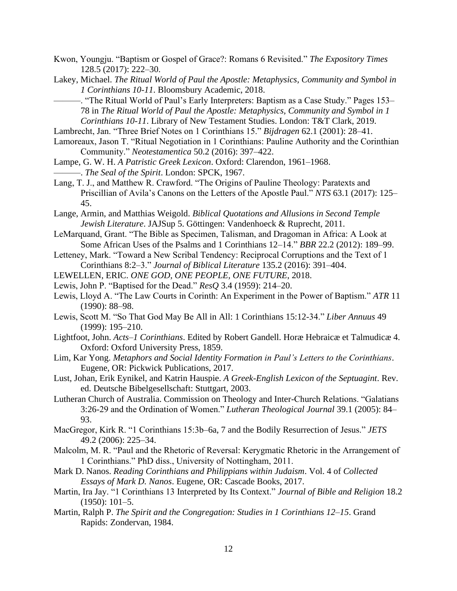- Kwon, Youngju. "Baptism or Gospel of Grace?: Romans 6 Revisited." *The Expository Times* 128.5 (2017): 222–30.
- Lakey, Michael. *The Ritual World of Paul the Apostle: Metaphysics, Community and Symbol in 1 Corinthians 10-11*. Bloomsbury Academic, 2018.
	- ———. "The Ritual World of Paul's Early Interpreters: Baptism as a Case Study." Pages 153– 78 in *The Ritual World of Paul the Apostle: Metaphysics, Community and Symbol in 1 Corinthians 10-11*. Library of New Testament Studies. London: T&T Clark, 2019.
- Lambrecht, Jan. "Three Brief Notes on 1 Corinthians 15." *Bijdragen* 62.1 (2001): 28–41.
- Lamoreaux, Jason T. "Ritual Negotiation in 1 Corinthians: Pauline Authority and the Corinthian Community." *Neotestamentica* 50.2 (2016): 397–422.
- Lampe, G. W. H. *A Patristic Greek Lexicon*. Oxford: Clarendon, 1961–1968. ———. *The Seal of the Spirit*. London: SPCK, 1967.
- Lang, T. J., and Matthew R. Crawford. "The Origins of Pauline Theology: Paratexts and Priscillian of Avila's Canons on the Letters of the Apostle Paul." *NTS* 63.1 (2017): 125– 45.
- Lange, Armin, and Matthias Weigold. *Biblical Quotations and Allusions in Second Temple Jewish Literature*. JAJSup 5. Göttingen: Vandenhoeck & Ruprecht, 2011.
- LeMarquand, Grant. "The Bible as Specimen, Talisman, and Dragoman in Africa: A Look at Some African Uses of the Psalms and 1 Corinthians 12–14." *BBR* 22.2 (2012): 189–99.
- Letteney, Mark. "Toward a New Scribal Tendency: Reciprocal Corruptions and the Text of 1 Corinthians 8:2–3." *Journal of Biblical Literature* 135.2 (2016): 391–404.
- LEWELLEN, ERIC. *ONE GOD, ONE PEOPLE, ONE FUTURE*, 2018.
- Lewis, John P. "Baptised for the Dead." *ResQ* 3.4 (1959): 214–20.
- Lewis, Lloyd A. "The Law Courts in Corinth: An Experiment in the Power of Baptism." *ATR* 11 (1990): 88–98.
- Lewis, Scott M. "So That God May Be All in All: 1 Corinthians 15:12-34." *Liber Annuus* 49 (1999): 195–210.
- Lightfoot, John. *Acts–1 Corinthians*. Edited by Robert Gandell. Horæ Hebraicæ et Talmudicæ 4. Oxford: Oxford University Press, 1859.
- Lim, Kar Yong. *Metaphors and Social Identity Formation in Paul's Letters to the Corinthians*. Eugene, OR: Pickwick Publications, 2017.
- Lust, Johan, Erik Eynikel, and Katrin Hauspie. *A Greek-English Lexicon of the Septuagint*. Rev. ed. Deutsche Bibelgesellschaft: Stuttgart, 2003.
- Lutheran Church of Australia. Commission on Theology and Inter-Church Relations. "Galatians 3:26-29 and the Ordination of Women." *Lutheran Theological Journal* 39.1 (2005): 84– 93.
- MacGregor, Kirk R. "1 Corinthians 15:3b–6a, 7 and the Bodily Resurrection of Jesus." *JETS* 49.2 (2006): 225–34.
- Malcolm, M. R. "Paul and the Rhetoric of Reversal: Kerygmatic Rhetoric in the Arrangement of 1 Corinthians." PhD diss., University of Nottingham, 2011.
- Mark D. Nanos. *Reading Corinthians and Philippians within Judaism*. Vol. 4 of *Collected Essays of Mark D. Nanos*. Eugene, OR: Cascade Books, 2017.
- Martin, Ira Jay. "1 Corinthians 13 Interpreted by Its Context." *Journal of Bible and Religion* 18.2 (1950): 101–5.
- Martin, Ralph P. *The Spirit and the Congregation: Studies in 1 Corinthians 12–15*. Grand Rapids: Zondervan, 1984.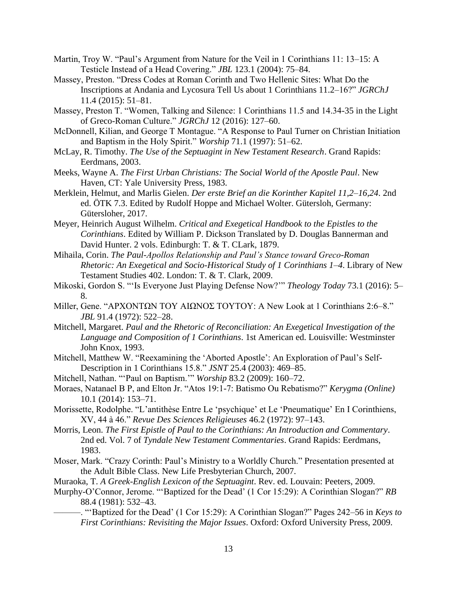- Martin, Troy W. "Paul's Argument from Nature for the Veil in 1 Corinthians 11: 13–15: A Testicle Instead of a Head Covering." *JBL* 123.1 (2004): 75–84.
- Massey, Preston. "Dress Codes at Roman Corinth and Two Hellenic Sites: What Do the Inscriptions at Andania and Lycosura Tell Us about 1 Corinthians 11.2–16?" *JGRChJ* 11.4 (2015): 51–81.
- Massey, Preston T. "Women, Talking and Silence: 1 Corinthians 11.5 and 14.34-35 in the Light of Greco-Roman Culture." *JGRChJ* 12 (2016): 127–60.
- McDonnell, Kilian, and George T Montague. "A Response to Paul Turner on Christian Initiation and Baptism in the Holy Spirit." *Worship* 71.1 (1997): 51–62.
- McLay, R. Timothy. *The Use of the Septuagint in New Testament Research*. Grand Rapids: Eerdmans, 2003.
- Meeks, Wayne A. *The First Urban Christians: The Social World of the Apostle Paul*. New Haven, CT: Yale University Press, 1983.
- Merklein, Helmut, and Marlis Gielen. *Der erste Brief an die Korinther Kapitel 11,2–16,24*. 2nd ed. ÖTK 7.3. Edited by Rudolf Hoppe and Michael Wolter. Gütersloh, Germany: Gütersloher, 2017.
- Meyer, Heinrich August Wilhelm. *Critical and Exegetical Handbook to the Epistles to the Corinthians*. Edited by William P. Dickson Translated by D. Douglas Bannerman and David Hunter. 2 vols. Edinburgh: T. & T. CLark, 1879.
- Mihaila, Corin. *The Paul-Apollos Relationship and Paul's Stance toward Greco-Roman Rhetoric: An Exegetical and Socio-Historical Study of 1 Corinthians 1–4*. Library of New Testament Studies 402. London: T. & T. Clark, 2009.
- Mikoski, Gordon S. "'Is Everyone Just Playing Defense Now?'" *Theology Today* 73.1 (2016): 5– 8.
- Miller, Gene. "ΑΡΧΟΝΤΩΝ ΤΟΥ ΑΙΩΝΟΣ ΤΟΥΤΟΥ: A New Look at 1 Corinthians 2:6–8." *JBL* 91.4 (1972): 522–28.
- Mitchell, Margaret. *Paul and the Rhetoric of Reconciliation: An Exegetical Investigation of the Language and Composition of 1 Corinthians*. 1st American ed. Louisville: Westminster John Knox, 1993.
- Mitchell, Matthew W. "Reexamining the 'Aborted Apostle': An Exploration of Paul's Self-Description in 1 Corinthians 15.8." *JSNT* 25.4 (2003): 469–85.
- Mitchell, Nathan. "'Paul on Baptism.'" *Worship* 83.2 (2009): 160–72.
- Moraes, Natanael B P, and Elton Jr. "Atos 19:1-7: Batismo Ou Rebatismo?" *Kerygma (Online)* 10.1 (2014): 153–71.
- Morissette, Rodolphe. "L'antithèse Entre Le 'psychique' et Le 'Pneumatique' En I Corinthiens, XV, 44 à 46." *Revue Des Sciences Religieuses* 46.2 (1972): 97–143.
- Morris, Leon. *The First Epistle of Paul to the Corinthians: An Introduction and Commentary*. 2nd ed. Vol. 7 of *Tyndale New Testament Commentaries*. Grand Rapids: Eerdmans, 1983.
- Moser, Mark. "Crazy Corinth: Paul's Ministry to a Worldly Church." Presentation presented at the Adult Bible Class. New Life Presbyterian Church, 2007.
- Muraoka, T. *A Greek-English Lexicon of the Septuagint*. Rev. ed. Louvain: Peeters, 2009.
- Murphy-O'Connor, Jerome. "'Baptized for the Dead' (1 Cor 15:29): A Corinthian Slogan?" *RB* 88.4 (1981): 532–43.
	- ———. "'Baptized for the Dead' (1 Cor 15:29): A Corinthian Slogan?" Pages 242–56 in *Keys to First Corinthians: Revisiting the Major Issues*. Oxford: Oxford University Press, 2009.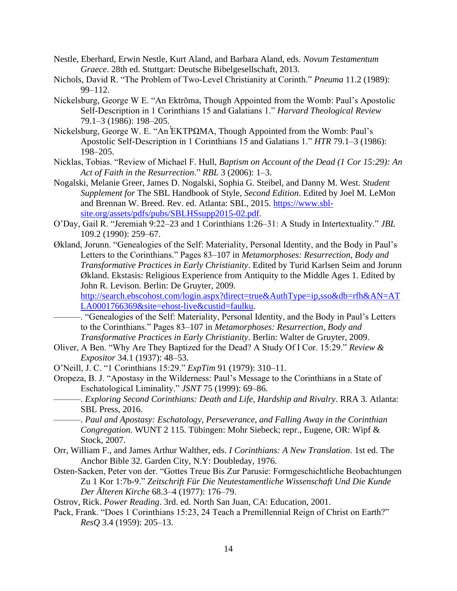- Nestle, Eberhard, Erwin Nestle, Kurt Aland, and Barbara Aland, eds. *Novum Testamentum Graece*. 28th ed. Stuttgart: Deutsche Bibelgesellschaft, 2013.
- Nichols, David R. "The Problem of Two-Level Christianity at Corinth." *Pneuma* 11.2 (1989): 99–112.
- Nickelsburg, George W E. "An Ektrōma, Though Appointed from the Womb: Paul's Apostolic Self-Description in 1 Corinthians 15 and Galatians 1." *Harvard Theological Review* 79.1–3 (1986): 198–205.
- Nickelsburg, George W. E. "An ΕΚΤΡΩΜΑ, Though Appointed from the Womb: Paul's Apostolic Self-Description in 1 Corinthians 15 and Galatians 1." *HTR* 79.1–3 (1986): 198–205.
- Nicklas, Tobias. "Review of Michael F. Hull, *Baptism on Account of the Dead (1 Cor 15:29): An Act of Faith in the Resurrection*." *RBL* 3 (2006): 1–3.
- Nogalski, Melanie Greer, James D. Nogalski, Sophia G. Steibel, and Danny M. West. *Student Supplement for* The SBL Handbook of Style*, Second Edition*. Edited by Joel M. LeMon and Brennan W. Breed. Rev. ed. Atlanta: SBL, 2015. [https://www.sbl](https://www.sbl-site.org/assets/pdfs/pubs/SBLHSsupp2015-02.pdf)[site.org/assets/pdfs/pubs/SBLHSsupp2015-02.pdf.](https://www.sbl-site.org/assets/pdfs/pubs/SBLHSsupp2015-02.pdf)
- O'Day, Gail R. "Jeremiah 9:22–23 and 1 Corinthians 1:26–31: A Study in Intertextuality." *JBL* 109.2 (1990): 259–67.
- Økland, Jorunn. "Genealogies of the Self: Materiality, Personal Identity, and the Body in Paul's Letters to the Corinthians." Pages 83–107 in *Metamorphoses: Resurrection, Body and Transformative Practices in Early Christianity*. Edited by Turid Karlsen Seim and Jorunn Økland. Ekstasis: Religious Experience from Antiquity to the Middle Ages 1. Edited by John R. Levison. Berlin: De Gruyter, 2009.

[http://search.ebscohost.com/login.aspx?direct=true&AuthType=ip,sso&db=rfh&AN=AT](http://search.ebscohost.com/login.aspx?direct=true&AuthType=ip,sso&db=rfh&AN=ATLA0001766369&site=ehost-live&custid=faulku) [LA0001766369&site=ehost-live&custid=faulku.](http://search.ebscohost.com/login.aspx?direct=true&AuthType=ip,sso&db=rfh&AN=ATLA0001766369&site=ehost-live&custid=faulku)

- -. "Genealogies of the Self: Materiality, Personal Identity, and the Body in Paul's Letters to the Corinthians." Pages 83–107 in *Metamorphoses: Resurrection, Body and Transformative Practices in Early Christianity*. Berlin: Walter de Gruyter, 2009.
- Oliver, A Ben. "Why Are They Baptized for the Dead? A Study Οf I Cor. 15:29." *Review & Expositor* 34.1 (1937): 48–53.
- O'Neill, J. C. "1 Corinthians 15:29." *ExpTim* 91 (1979): 310–11.
- Oropeza, B. J. "Apostasy in the Wilderness: Paul's Message to the Corinthians in a State of Eschatological Liminality." *JSNT* 75 (1999): 69–86.
	- ———. *Exploring Second Corinthians: Death and Life, Hardship and Rivalry*. RRA 3. Atlanta: SBL Press, 2016.
- ———. *Paul and Apostasy: Eschatology, Perseverance, and Falling Away in the Corinthian Congregation*. WUNT 2 115. Tübingen: Mohr Siebeck; repr., Eugene, OR: Wipf & Stock, 2007.
- Orr, William F., and James Arthur Walther, eds. *I Corinthians: A New Translation*. 1st ed. The Anchor Bible 32. Garden City, N.Y: Doubleday, 1976.
- Osten-Sacken, Peter von der. "Gottes Treue Bis Zur Parusie: Formgeschichtliche Beobachtungen Zu 1 Kor 1:7b-9." *Zeitschrift Für Die Neutestamentliche Wissenschaft Und Die Kunde Der Älteren Kirche* 68.3–4 (1977): 176–79.
- Ostrov, Rick. *Power Reading*. 3rd. ed. North San Juan, CA: Education, 2001.
- Pack, Frank. "Does 1 Corinthians 15:23, 24 Teach a Premillennial Reign of Christ on Earth?" *ResQ* 3.4 (1959): 205–13.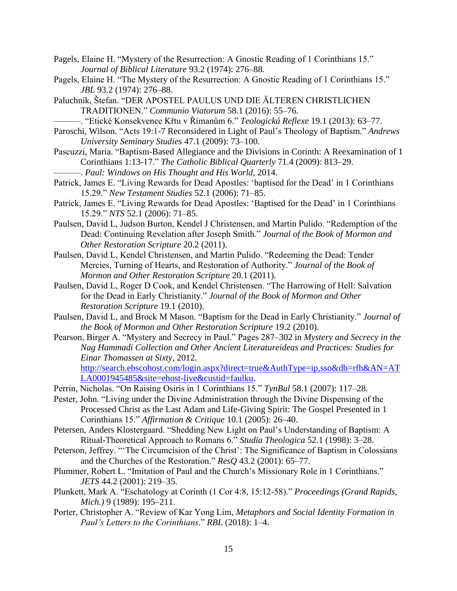- Pagels, Elaine H. "Mystery of the Resurrection: A Gnostic Reading of 1 Corinthians 15." *Journal of Biblical Literature* 93.2 (1974): 276–88.
- Pagels, Elaine H. "The Mystery of the Resurrection: A Gnostic Reading of 1 Corinthians 15." *JBL* 93.2 (1974): 276–88.
- Paluchník, Štefan. "DER APOSTEL PAULUS UND DIE ÄLTEREN CHRISTLICHEN TRADITIONEN." *Communio Viatorum* 58.1 (2016): 55–76.
- ———. "Etické Konsekvence Křtu v Římanům 6." *Teologická Reflexe* 19.1 (2013): 63–77.
- Paroschi, Wilson. "Acts 19:1-7 Reconsidered in Light of Paul's Theology of Baptism." *Andrews University Seminary Studies* 47.1 (2009): 73–100.
- Pascuzzi, Maria. "Baptism-Based Allegiance and the Divisions in Corinth: A Reexamination of 1 Corinthians 1:13-17." *The Catholic Biblical Quarterly* 71.4 (2009): 813–29. ———. *Paul: Windows on His Thought and His World*, 2014.
- Patrick, James E. "Living Rewards for Dead Apostles: 'baptised for the Dead' in 1 Corinthians 15.29." *New Testament Studies* 52.1 (2006): 71–85.
- Patrick, James E. "Living Rewards for Dead Apostles: 'Baptised for the Dead' in 1 Corinthians 15.29." *NTS* 52.1 (2006): 71–85.
- Paulsen, David L, Judson Burton, Kendel J Christensen, and Martin Pulido. "Redemption of the Dead: Continuing Revelation after Joseph Smith." *Journal of the Book of Mormon and Other Restoration Scripture* 20.2 (2011).
- Paulsen, David L, Kendel Christensen, and Martin Pulido. "Redeeming the Dead: Tender Mercies, Turning of Hearts, and Restoration of Authority." *Journal of the Book of Mormon and Other Restoration Scripture* 20.1 (2011).
- Paulsen, David L, Roger D Cook, and Kendel Christensen. "The Harrowing of Hell: Salvation for the Dead in Early Christianity." *Journal of the Book of Mormon and Other Restoration Scripture* 19.1 (2010).
- Paulsen, David L, and Brock M Mason. "Baptism for the Dead in Early Christianity." *Journal of the Book of Mormon and Other Restoration Scripture* 19.2 (2010).
- Pearson, Birger A. "Mystery and Secrecy in Paul." Pages 287–302 in *Mystery and Secrecy in the Nag Hammadi Collection and Other Ancient Literatureideas and Practices: Studies for Einar Thomassen at Sixty*, 2012. [http://search.ebscohost.com/login.aspx?direct=true&AuthType=ip,sso&db=rfh&AN=AT](http://search.ebscohost.com/login.aspx?direct=true&AuthType=ip,sso&db=rfh&AN=ATLA0001945485&site=ehost-live&custid=faulku) [LA0001945485&site=ehost-live&custid=faulku.](http://search.ebscohost.com/login.aspx?direct=true&AuthType=ip,sso&db=rfh&AN=ATLA0001945485&site=ehost-live&custid=faulku)
- Perrin, Nicholas. "On Raising Osiris in 1 Corinthians 15." *TynBul* 58.1 (2007): 117–28.
- Pester, John. "Living under the Divine Administration through the Divine Dispensing of the Processed Christ as the Last Adam and Life-Giving Spirit: The Gospel Presented in 1 Corinthians 15." *Affirmation & Critique* 10.1 (2005): 26–40.
- Petersen, Anders Klostergaard. "Shedding New Light on Paul's Understanding of Baptism: A Ritual-Theoretical Approach to Romans 6." *Studia Theologica* 52.1 (1998): 3–28.
- Peterson, Jeffrey. "'The Circumcision of the Christ': The Significance of Baptism in Colossians and the Churches of the Restoration." *ResQ* 43.2 (2001): 65–77.
- Plummer, Robert L. "Imitation of Paul and the Church's Missionary Role in 1 Corinthians." *JETS* 44.2 (2001): 219–35.
- Plunkett, Mark A. "Eschatology at Corinth (1 Cor 4:8, 15:12-58)." *Proceedings (Grand Rapids, Mich.)* 9 (1989): 195–211.
- Porter, Christopher A. "Review of Kar Yong Lim, *Metaphors and Social Identity Formation in Paul's Letters to the Corinthians*." *RBL* (2018): 1–4.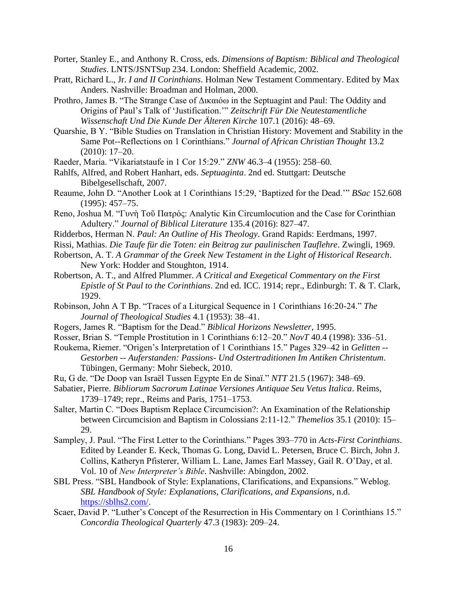- Porter, Stanley E., and Anthony R. Cross, eds. *Dimensions of Baptism: Biblical and Theological Studies*. LNTS/JSNTSup 234. London: Sheffield Academic, 2002.
- Pratt, Richard L., Jr. *I and II Corinthians*. Holman New Testament Commentary. Edited by Max Anders. Nashville: Broadman and Holman, 2000.
- Prothro, James B. "The Strange Case of Δικαιόω in the Septuagint and Paul: The Oddity and Origins of Paul's Talk of 'Justification.'" *Zeitschrift Für Die Neutestamentliche Wissenschaft Und Die Kunde Der Älteren Kirche* 107.1 (2016): 48–69.
- Quarshie, B Y. "Bible Studies on Translation in Christian History: Movement and Stability in the Same Pot--Reflections on 1 Corinthians." *Journal of African Christian Thought* 13.2 (2010): 17–20.
- Raeder, Maria. "Vikariatstaufe in 1 Cor 15:29." *ZNW* 46.3–4 (1955): 258–60.
- Rahlfs, Alfred, and Robert Hanhart, eds. *Septuaginta*. 2nd ed. Stuttgart: Deutsche Bibelgesellschaft, 2007.
- Reaume, John D. "Another Look at 1 Corinthians 15:29, 'Baptized for the Dead.'" *BSac* 152.608 (1995): 457–75.
- Reno, Joshua M. "Γυνὴ Τοῦ Πατρός: Analytic Kin Circumlocution and the Case for Corinthian Adultery." *Journal of Biblical Literature* 135.4 (2016): 827–47.
- Ridderbos, Herman N. *Paul: An Outline of His Theology*. Grand Rapids: Eerdmans, 1997.
- Rissi, Mathias. *Die Taufe für die Toten: ein Beitrag zur paulinischen Tauflehre*. Zwingli, 1969.
- Robertson, A. T. *A Grammar of the Greek New Testament in the Light of Historical Research*. New York: Hodder and Stoughton, 1914.
- Robertson, A. T., and Alfred Plummer. *A Critical and Exegetical Commentary on the First Epistle of St Paul to the Corinthians*. 2nd ed. ICC. 1914; repr., Edinburgh: T. & T. Clark, 1929.
- Robinson, John A T Bp. "Traces of a Liturgical Sequence in 1 Corinthians 16:20-24." *The Journal of Theological Studies* 4.1 (1953): 38–41.
- Rogers, James R. "Baptism for the Dead." *Biblical Horizons Newsletter*, 1995.
- Rosser, Brian S. "Temple Prostitution in 1 Corinthians 6:12–20." *NovT* 40.4 (1998): 336–51.
- Roukema, Riemer. "Origen's Interpretation of 1 Corinthians 15." Pages 329–42 in *Gelitten -- Gestorben -- Auferstanden: Passions- Und Ostertraditionen Im Antiken Christentum*. Tübingen, Germany: Mohr Siebeck, 2010.
- Ru, G de. "De Doop van Israël Tussen Egypte En de Sinaï." *NTT* 21.5 (1967): 348–69.
- Sabatier, Pierre. *Bibliorum Sacrorum Latinae Versiones Antiquae Seu Vetus Italica*. Reims, 1739–1749; repr., Reims and Paris, 1751–1753.
- Salter, Martin C. "Does Baptism Replace Circumcision?: An Examination of the Relationship between Circumcision and Baptism in Colossians 2:11-12." *Themelios* 35.1 (2010): 15– 29.
- Sampley, J. Paul. "The First Letter to the Corinthians." Pages 393–770 in *Acts-First Corinthians*. Edited by Leander E. Keck, Thomas G. Long, David L. Petersen, Bruce C. Birch, John J. Collins, Katheryn Pfisterer, William L. Lane, James Earl Massey, Gail R. O'Day, et al. Vol. 10 of *New Interpreter's Bible*. Nashville: Abingdon, 2002.
- SBL Press. "SBL Handbook of Style: Explanations, Clarifications, and Expansions." Weblog. *SBL Handbook of Style: Explanations, Clarifications, and Expansions*, n.d. [https://sblhs2.com/.](https://sblhs2.com/)
- Scaer, David P. "Luther's Concept of the Resurrection in His Commentary on 1 Corinthians 15." *Concordia Theological Quarterly* 47.3 (1983): 209–24.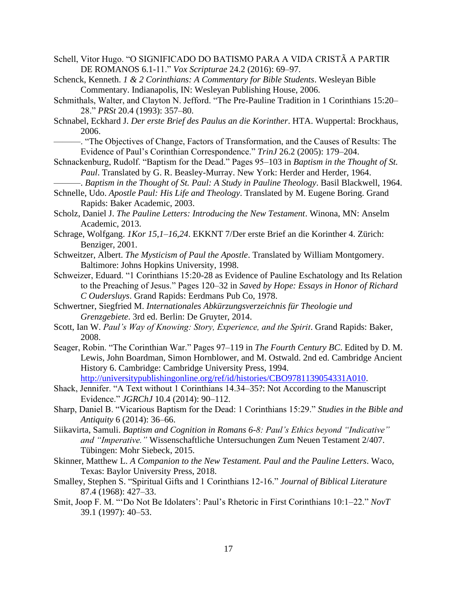- Schell, Vitor Hugo. "O SIGNIFICADO DO BATISMO PARA A VIDA CRISTÃ A PARTIR DE ROMANOS 6.1-11." *Vox Scripturae* 24.2 (2016): 69–97.
- Schenck, Kenneth. *1 & 2 Corinthians: A Commentary for Bible Students*. Wesleyan Bible Commentary. Indianapolis, IN: Wesleyan Publishing House, 2006.
- Schmithals, Walter, and Clayton N. Jefford. "The Pre-Pauline Tradition in 1 Corinthians 15:20– 28." *PRSt* 20.4 (1993): 357–80.
- Schnabel, Eckhard J. *Der erste Brief des Paulus an die Korinther*. HTA. Wuppertal: Brockhaus, 2006.
	- ———. "The Objectives of Change, Factors of Transformation, and the Causes of Results: The Evidence of Paul's Corinthian Correspondence." *TrinJ* 26.2 (2005): 179–204.
- Schnackenburg, Rudolf. "Baptism for the Dead." Pages 95–103 in *Baptism in the Thought of St. Paul*. Translated by G. R. Beasley-Murray. New York: Herder and Herder, 1964.
- ———. *Baptism in the Thought of St. Paul: A Study in Pauline Theology*. Basil Blackwell, 1964. Schnelle, Udo. *Apostle Paul: His Life and Theology*. Translated by M. Eugene Boring. Grand
- Rapids: Baker Academic, 2003.

Scholz, Daniel J. *The Pauline Letters: Introducing the New Testament*. Winona, MN: Anselm Academic, 2013.

- Schrage, Wolfgang. *1Kor 15,1–16,24*. EKKNT 7/Der erste Brief an die Korinther 4. Zürich: Benziger, 2001.
- Schweitzer, Albert. *The Mysticism of Paul the Apostle*. Translated by William Montgomery. Baltimore: Johns Hopkins University, 1998.
- Schweizer, Eduard. "1 Corinthians 15:20-28 as Evidence of Pauline Eschatology and Its Relation to the Preaching of Jesus." Pages 120–32 in *Saved by Hope: Essays in Honor of Richard C Oudersluys*. Grand Rapids: Eerdmans Pub Co, 1978.
- Schwertner, Siegfried M. *Internationales Abkürzungsverzeichnis für Theologie und Grenzgebiete*. 3rd ed. Berlin: De Gruyter, 2014.
- Scott, Ian W. *Paul's Way of Knowing: Story, Experience, and the Spirit*. Grand Rapids: Baker, 2008.
- Seager, Robin. "The Corinthian War." Pages 97–119 in *The Fourth Century BC*. Edited by D. M. Lewis, John Boardman, Simon Hornblower, and M. Ostwald. 2nd ed. Cambridge Ancient History 6. Cambridge: Cambridge University Press, 1994. [http://universitypublishingonline.org/ref/id/histories/CBO9781139054331A010.](http://universitypublishingonline.org/ref/id/histories/CBO9781139054331A010)
- Shack, Jennifer. "A Text without 1 Corinthians 14.34–35?: Not According to the Manuscript Evidence." *JGRChJ* 10.4 (2014): 90–112.
- Sharp, Daniel B. "Vicarious Baptism for the Dead: 1 Corinthians 15:29." *Studies in the Bible and Antiquity* 6 (2014): 36–66.
- Siikavirta, Samuli. *Baptism and Cognition in Romans 6-8: Paul's Ethics beyond "Indicative" and "Imperative."* Wissenschaftliche Untersuchungen Zum Neuen Testament 2/407. Tübingen: Mohr Siebeck, 2015.
- Skinner, Matthew L. *A Companion to the New Testament. Paul and the Pauline Letters*. Waco, Texas: Baylor University Press, 2018.
- Smalley, Stephen S. "Spiritual Gifts and 1 Corinthians 12-16." *Journal of Biblical Literature* 87.4 (1968): 427–33.
- Smit, Joop F. M. "'Do Not Be Idolaters': Paul's Rhetoric in First Corinthians 10:1–22." *NovT* 39.1 (1997): 40–53.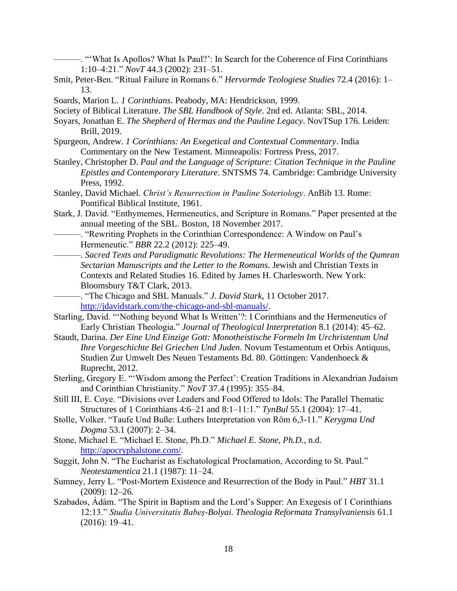- ———. "'What Is Apollos? What Is Paul?': In Search for the Coherence of First Corinthians 1:10–4:21." *NovT* 44.3 (2002): 231–51.
- Smit, Peter-Ben. "Ritual Failure in Romans 6." *Hervormde Teologiese Studies* 72.4 (2016): 1– 13.
- Soards, Marion L. *1 Corinthians*. Peabody, MA: Hendrickson, 1999.
- Society of Biblical Literature. *The SBL Handbook of Style*. 2nd ed. Atlanta: SBL, 2014.
- Soyars, Jonathan E. *The Shepherd of Hermas and the Pauline Legacy*. NovTSup 176. Leiden: Brill, 2019.
- Spurgeon, Andrew. *1 Corinthians: An Exegetical and Contextual Commentary*. India Commentary on the New Testament. Minneapolis: Fortress Press, 2017.
- Stanley, Christopher D. *Paul and the Language of Scripture: Citation Technique in the Pauline Epistles and Contemporary Literature*. SNTSMS 74. Cambridge: Cambridge University Press, 1992.
- Stanley, David Michael. *Christ's Resurrection in Pauline Soteriology*. AnBib 13. Rome: Pontifical Biblical Institute, 1961.
- Stark, J. David. "Enthymemes, Hermeneutics, and Scripture in Romans." Paper presented at the annual meeting of the SBL. Boston, 18 November 2017.
- ———. "Rewriting Prophets in the Corinthian Correspondence: A Window on Paul's Hermeneutic." *BBR* 22.2 (2012): 225–49.
	- ———. *Sacred Texts and Paradigmatic Revolutions: The Hermeneutical Worlds of the Qumran Sectarian Manuscripts and the Letter to the Romans*. Jewish and Christian Texts in Contexts and Related Studies 16. Edited by James H. Charlesworth. New York: Bloomsbury T&T Clark, 2013.
- ———. "The Chicago and SBL Manuals." *J. David Stark*, 11 October 2017. [http://jdavidstark.com/the-chicago-and-sbl-manuals/.](http://jdavidstark.com/the-chicago-and-sbl-manuals/)
- Starling, David. "'Nothing beyond What Is Written'?: I Corinthians and the Hermeneutics of Early Christian Theologia." *Journal of Theological Interpretation* 8.1 (2014): 45–62.
- Staudt, Darina. *Der Eine Und Einzige Gott: Monotheistische Formeln Im Urchristentum Und Ihre Vorgeschichte Bei Griechen Und Juden*. Novum Testamentum et Orbis Antiquus, Studien Zur Umwelt Des Neuen Testaments Bd. 80. Göttingen: Vandenhoeck & Ruprecht, 2012.
- Sterling, Gregory E. "'Wisdom among the Perfect': Creation Traditions in Alexandrian Judaism and Corinthian Christianity." *NovT* 37.4 (1995): 355–84.
- Still III, E. Coye. "Divisions over Leaders and Food Offered to Idols: The Parallel Thematic Structures of 1 Corinthians 4:6–21 and 8:1–11:1." *TynBul* 55.1 (2004): 17–41.
- Stolle, Volker. "Taufe Und Buße: Luthers Interpretation von Röm 6,3-11." *Kerygma Und Dogma* 53.1 (2007): 2–34.
- Stone, Michael E. "Michael E. Stone, Ph.D." *Michael E. Stone, Ph.D.*, n.d. [http://apocryphalstone.com/.](http://apocryphalstone.com/)
- Suggit, John N. "The Eucharist as Eschatological Proclamation, According to St. Paul." *Neotestamentica* 21.1 (1987): 11–24.
- Sumney, Jerry L. "Post-Mortem Existence and Resurrection of the Body in Paul." *HBT* 31.1 (2009): 12–26.
- Szabados, Ádám. "The Spirit in Baptism and the Lord's Supper: An Exegesis of 1 Corinthians 12:13." *Studia Universitatis Babeș-Bolyai. Theologia Reformata Transylvaniensis* 61.1 (2016): 19–41.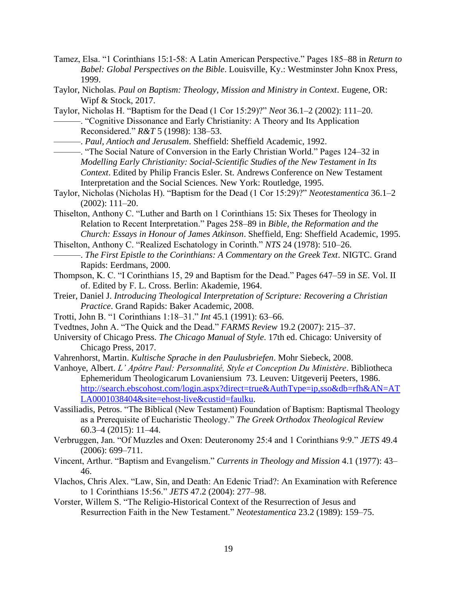- Tamez, Elsa. "1 Corinthians 15:1-58: A Latin American Perspective." Pages 185–88 in *Return to Babel: Global Perspectives on the Bible*. Louisville, Ky.: Westminster John Knox Press, 1999.
- Taylor, Nicholas. *Paul on Baptism: Theology, Mission and Ministry in Context*. Eugene, OR: Wipf & Stock, 2017.
- Taylor, Nicholas H. "Baptism for the Dead (1 Cor 15:29)?" *Neot* 36.1–2 (2002): 111–20. ———. "Cognitive Dissonance and Early Christianity: A Theory and Its Application Reconsidered." *R&T* 5 (1998): 138–53.

———. *Paul, Antioch and Jerusalem*. Sheffield: Sheffield Academic, 1992.

- ———. "The Social Nature of Conversion in the Early Christian World." Pages 124–32 in *Modelling Early Christianity: Social-Scientific Studies of the New Testament in Its Context*. Edited by Philip Francis Esler. St. Andrews Conference on New Testament Interpretation and the Social Sciences. New York: Routledge, 1995.
- Taylor, Nicholas (Nicholas H). "Baptism for the Dead (1 Cor 15:29)?" *Neotestamentica* 36.1–2 (2002): 111–20.
- Thiselton, Anthony C. "Luther and Barth on 1 Corinthians 15: Six Theses for Theology in Relation to Recent Interpretation." Pages 258–89 in *Bible, the Reformation and the Church: Essays in Honour of James Atkinson*. Sheffield, Eng: Sheffield Academic, 1995.
- Thiselton, Anthony C. "Realized Eschatology in Corinth." *NTS* 24 (1978): 510–26. ———. *The First Epistle to the Corinthians: A Commentary on the Greek Text*. NIGTC. Grand Rapids: Eerdmans, 2000.
- Thompson, K. C. "I Corinthians 15, 29 and Baptism for the Dead." Pages 647–59 in *SE*. Vol. II of. Edited by F. L. Cross. Berlin: Akademie, 1964.
- Treier, Daniel J. *Introducing Theological Interpretation of Scripture: Recovering a Christian Practice*. Grand Rapids: Baker Academic, 2008.
- Trotti, John B. "1 Corinthians 1:18–31." *Int* 45.1 (1991): 63–66.
- Tvedtnes, John A. "The Quick and the Dead." *FARMS Review* 19.2 (2007): 215–37.
- University of Chicago Press. *The Chicago Manual of Style*. 17th ed. Chicago: University of Chicago Press, 2017.
- Vahrenhorst, Martin. *Kultische Sprache in den Paulusbriefen*. Mohr Siebeck, 2008.
- Vanhoye, Albert. *L' Apôtre Paul: Personnalité, Style et Conception Du Ministère*. Bibliotheca Ephemeridum Theologicarum Lovaniensium 73. Leuven: Uitgeverij Peeters, 1986. [http://search.ebscohost.com/login.aspx?direct=true&AuthType=ip,sso&db=rfh&AN=AT](http://search.ebscohost.com/login.aspx?direct=true&AuthType=ip,sso&db=rfh&AN=ATLA0001038404&site=ehost-live&custid=faulku) [LA0001038404&site=ehost-live&custid=faulku.](http://search.ebscohost.com/login.aspx?direct=true&AuthType=ip,sso&db=rfh&AN=ATLA0001038404&site=ehost-live&custid=faulku)
- Vassiliadis, Petros. "The Biblical (New Testament) Foundation of Baptism: Baptismal Theology as a Prerequisite of Eucharistic Theology." *The Greek Orthodox Theological Review* 60.3–4 (2015): 11–44.
- Verbruggen, Jan. "Of Muzzles and Oxen: Deuteronomy 25:4 and 1 Corinthians 9:9." *JETS* 49.4 (2006): 699–711.
- Vincent, Arthur. "Baptism and Evangelism." *Currents in Theology and Mission* 4.1 (1977): 43– 46.
- Vlachos, Chris Alex. "Law, Sin, and Death: An Edenic Triad?: An Examination with Reference to 1 Corinthians 15:56." *JETS* 47.2 (2004): 277–98.
- Vorster, Willem S. "The Religio-Historical Context of the Resurrection of Jesus and Resurrection Faith in the New Testament." *Neotestamentica* 23.2 (1989): 159–75.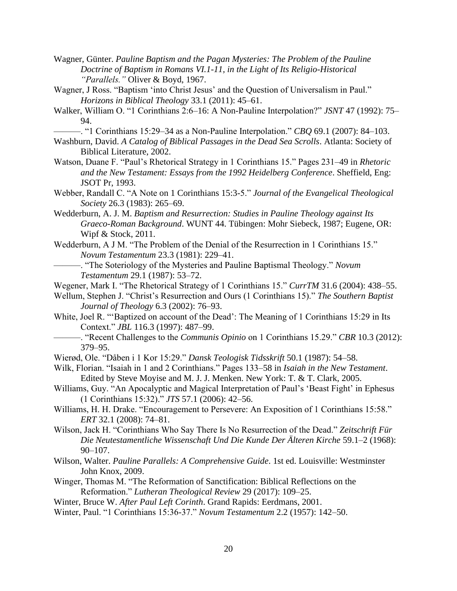- Wagner, Günter. *Pauline Baptism and the Pagan Mysteries: The Problem of the Pauline Doctrine of Baptism in Romans VI.1-11, in the Light of Its Religio-Historical "Parallels."* Oliver & Boyd, 1967.
- Wagner, J Ross. "Baptism 'into Christ Jesus' and the Question of Universalism in Paul." *Horizons in Biblical Theology* 33.1 (2011): 45–61.
- Walker, William O. "1 Corinthians 2:6–16: A Non-Pauline Interpolation?" *JSNT* 47 (1992): 75– 94.
	- ———. "1 Corinthians 15:29–34 as a Non-Pauline Interpolation." *CBQ* 69.1 (2007): 84–103.
- Washburn, David. *A Catalog of Biblical Passages in the Dead Sea Scrolls*. Atlanta: Society of Biblical Literature, 2002.
- Watson, Duane F. "Paul's Rhetorical Strategy in 1 Corinthians 15." Pages 231–49 in *Rhetoric and the New Testament: Essays from the 1992 Heidelberg Conference*. Sheffield, Eng: JSOT Pr, 1993.
- Webber, Randall C. "A Note on 1 Corinthians 15:3-5." *Journal of the Evangelical Theological Society* 26.3 (1983): 265–69.
- Wedderburn, A. J. M. *Baptism and Resurrection: Studies in Pauline Theology against Its Graeco-Roman Background*. WUNT 44. Tübingen: Mohr Siebeck, 1987; Eugene, OR: Wipf & Stock, 2011.
- Wedderburn, A J M. "The Problem of the Denial of the Resurrection in 1 Corinthians 15." *Novum Testamentum* 23.3 (1981): 229–41.
	- ———. "The Soteriology of the Mysteries and Pauline Baptismal Theology." *Novum Testamentum* 29.1 (1987): 53–72.

Wegener, Mark I. "The Rhetorical Strategy of 1 Corinthians 15." *CurrTM* 31.6 (2004): 438–55.

- Wellum, Stephen J. "Christ's Resurrection and Ours (1 Corinthians 15)." *The Southern Baptist Journal of Theology* 6.3 (2002): 76–93.
- White, Joel R. "'Baptized on account of the Dead': The Meaning of 1 Corinthians 15:29 in Its Context." *JBL* 116.3 (1997): 487–99.
	- ———. "Recent Challenges to the *Communis Opinio* on 1 Corinthians 15.29." *CBR* 10.3 (2012): 379–95.
- Wierød, Ole. "Dåben i 1 Kor 15:29." *Dansk Teologisk Tidsskrift* 50.1 (1987): 54–58.
- Wilk, Florian. "Isaiah in 1 and 2 Corinthians." Pages 133–58 in *Isaiah in the New Testament*. Edited by Steve Moyise and M. J. J. Menken. New York: T. & T. Clark, 2005.
- Williams, Guy. "An Apocalyptic and Magical Interpretation of Paul's 'Beast Fight' in Ephesus (1 Corinthians 15:32)." *JTS* 57.1 (2006): 42–56.
- Williams, H. H. Drake. "Encouragement to Persevere: An Exposition of 1 Corinthians 15:58." *ERT* 32.1 (2008): 74–81.
- Wilson, Jack H. "Corinthians Who Say There Is No Resurrection of the Dead." *Zeitschrift Für Die Neutestamentliche Wissenschaft Und Die Kunde Der Älteren Kirche* 59.1–2 (1968): 90–107.
- Wilson, Walter. *Pauline Parallels: A Comprehensive Guide*. 1st ed. Louisville: Westminster John Knox, 2009.
- Winger, Thomas M. "The Reformation of Sanctification: Biblical Reflections on the Reformation." *Lutheran Theological Review* 29 (2017): 109–25.
- Winter, Bruce W. *After Paul Left Corinth*. Grand Rapids: Eerdmans, 2001.
- Winter, Paul. "1 Corinthians 15:36-37." *Novum Testamentum* 2.2 (1957): 142–50.